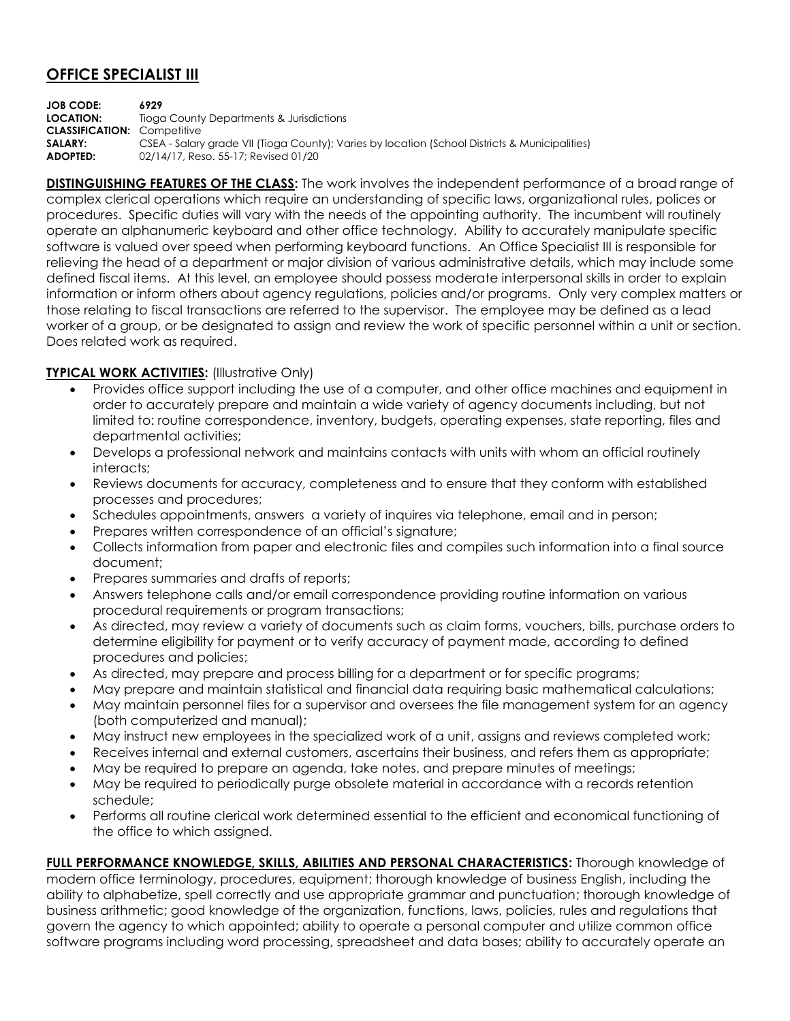## **OFFICE SPECIALIST III**

**JOB CODE: 6929 LOCATION:** Tioga County Departments & Jurisdictions **CLASSIFICATION:** Competitive **SALARY:** CSEA - Salary grade VII (Tioga County); Varies by location (School Districts & Municipalities) **ADOPTED:** 02/14/17, Reso. 55-17; Revised 01/20

**DISTINGUISHING FEATURES OF THE CLASS:** The work involves the independent performance of a broad range of complex clerical operations which require an understanding of specific laws, organizational rules, polices or procedures. Specific duties will vary with the needs of the appointing authority. The incumbent will routinely operate an alphanumeric keyboard and other office technology. Ability to accurately manipulate specific software is valued over speed when performing keyboard functions. An Office Specialist III is responsible for relieving the head of a department or major division of various administrative details, which may include some defined fiscal items. At this level, an employee should possess moderate interpersonal skills in order to explain information or inform others about agency regulations, policies and/or programs. Only very complex matters or those relating to fiscal transactions are referred to the supervisor. The employee may be defined as a lead worker of a group, or be designated to assign and review the work of specific personnel within a unit or section. Does related work as required.

## **TYPICAL WORK ACTIVITIES: (Illustrative Only)**

- Provides office support including the use of a computer, and other office machines and equipment in order to accurately prepare and maintain a wide variety of agency documents including, but not limited to: routine correspondence, inventory, budgets, operating expenses, state reporting, files and departmental activities;
- Develops a professional network and maintains contacts with units with whom an official routinely interacts;
- Reviews documents for accuracy, completeness and to ensure that they conform with established processes and procedures;
- Schedules appointments, answers a variety of inquires via telephone, email and in person;
- Prepares written correspondence of an official's signature;
- Collects information from paper and electronic files and compiles such information into a final source document;
- Prepares summaries and drafts of reports;
- Answers telephone calls and/or email correspondence providing routine information on various procedural requirements or program transactions;
- As directed, may review a variety of documents such as claim forms, vouchers, bills, purchase orders to determine eligibility for payment or to verify accuracy of payment made, according to defined procedures and policies;
- As directed, may prepare and process billing for a department or for specific programs;
- May prepare and maintain statistical and financial data requiring basic mathematical calculations;
- May maintain personnel files for a supervisor and oversees the file management system for an agency (both computerized and manual);
- May instruct new employees in the specialized work of a unit, assigns and reviews completed work;
- Receives internal and external customers, ascertains their business, and refers them as appropriate;
- May be required to prepare an agenda, take notes, and prepare minutes of meetings;
- May be required to periodically purge obsolete material in accordance with a records retention schedule;
- Performs all routine clerical work determined essential to the efficient and economical functioning of the office to which assigned.

**FULL PERFORMANCE KNOWLEDGE, SKILLS, ABILITIES AND PERSONAL CHARACTERISTICS:** Thorough knowledge of modern office terminology, procedures, equipment; thorough knowledge of business English, including the ability to alphabetize, spell correctly and use appropriate grammar and punctuation; thorough knowledge of business arithmetic; good knowledge of the organization, functions, laws, policies, rules and regulations that govern the agency to which appointed; ability to operate a personal computer and utilize common office software programs including word processing, spreadsheet and data bases; ability to accurately operate an